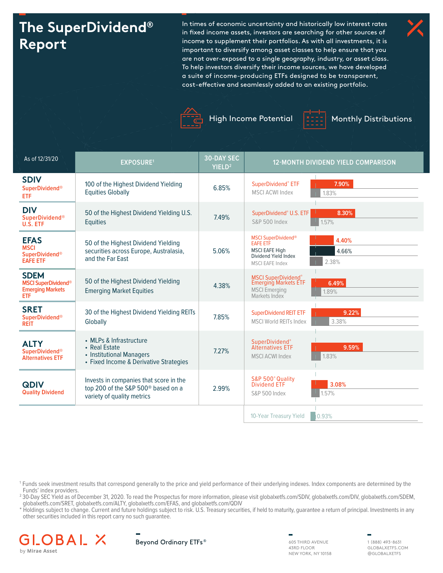# **The SuperDividend® Report**

In times of economic uncertainty and historically low interest rates in fixed income assets, investors are searching for other sources of income to supplement their portfolios. As with all investments, it is important to diversify among asset classes to help ensure that you are not over-exposed to a single geography, industry, or asset class. To help investors diversify their income sources, we have developed a suite of income-producing ETFs designed to be transparent, cost-effective and seamlessly added to an existing portfolio.





High Income Potential  $\frac{2z}{z}$  Monthly Distributions



| As of 12/31/20                                                                     | <b>EXPOSURE1</b>                                                                                                       | <b>30-DAY SEC</b><br>YIELD <sup>2</sup> | <b>12-MONTH DIVIDEND YIELD COMPARISON</b>                                                                                                           |
|------------------------------------------------------------------------------------|------------------------------------------------------------------------------------------------------------------------|-----------------------------------------|-----------------------------------------------------------------------------------------------------------------------------------------------------|
| <b>SDIV</b><br><b>SuperDividend®</b><br><b>ETF</b>                                 | 100 of the Highest Dividend Yielding<br><b>Equities Globally</b>                                                       | 6.85%                                   | 7.90%<br>SuperDividend® ETF<br><b>MSCI ACWI Index</b><br>1.83%                                                                                      |
| <b>DIV</b><br><b>SuperDividend®</b><br>U.S. ETF                                    | 50 of the Highest Dividend Yielding U.S.<br><b>Equities</b>                                                            | 7.49%                                   | SuperDividend® U.S. ETF<br>8.30%<br>S&P 500 Index<br>1.57%                                                                                          |
| <b>EFAS</b><br><b>MSCI</b><br><b>SuperDividend®</b><br><b>EAFE ETF</b>             | 50 of the Highest Dividend Yielding<br>securities across Europe, Australasia,<br>and the Far East                      | 5.06%                                   | <b>MSCI SuperDividend®</b><br>4.40%<br><b>EAFE ETF</b><br><b>MSCI EAFE High</b><br>4.66%<br>Dividend Yield Index<br>2.38%<br><b>MSCI EAFE Index</b> |
| <b>SDEM</b><br><b>MSCI SuperDividend®</b><br><b>Emerging Markets</b><br><b>ETF</b> | 50 of the Highest Dividend Yielding<br><b>Emerging Market Equities</b>                                                 | 4.38%                                   | <b>MSCI SuperDividend®</b><br><b>Emerging Markets ETF</b><br>6.49%<br><b>MSCI Emerging</b><br>Markets Index<br>1.89%                                |
| <b>SRET</b><br><b>SuperDividend®</b><br><b>REIT</b>                                | 30 of the Highest Dividend Yielding REITs<br>Globally                                                                  | 7.85%                                   | 9.22%<br><b>SuperDividend REIT ETF</b><br>3.38%<br><b>MSCI World REITs Index</b>                                                                    |
| <b>ALTY</b><br><b>SuperDividend®</b><br><b>Alternatives ETF</b>                    | • MLPs & Infrastructure<br>• Real Estate<br>• Institutional Managers<br>• Fixed Income & Derivative Strategies         | 7.27%                                   | SuperDividend®<br><b>Alternatives ETF</b><br>9.59%<br>1.83%<br><b>MSCI ACWI Index</b>                                                               |
| <b>QDIV</b><br><b>Quality Dividend</b>                                             | Invests in companies that score in the<br>top 200 of the S&P 500 <sup>®</sup> based on a<br>variety of quality metrics | 2.99%                                   | S&P 500° Quality<br><b>Dividend ETF</b><br>3.08%<br>1.57%<br>S&P 500 Index                                                                          |
|                                                                                    |                                                                                                                        |                                         | 0.93%<br>10-Year Treasury Yield                                                                                                                     |

1 Funds seek investment results that correspond generally to the price and yield performance of their underlying indexes. Index components are determined by the Funds' index providers.

2 30-Day SEC Yield as of December 31, 2020. To read the Prospectus for more information, please visit globalxetfs.com/SDIV, globalxetfs.com/DIV, globalxetfs.com/SDEM, globalxetfs.com/SRET, globalxetfs.com/ALTY, globalxetfs.com/EFAS, and globalxetfs.com/QDIV

\* Holdings subject to change. Current and future holdings subject to risk. U.S. Treasury securities, if held to maturity, guarantee a return of principal. Investments in any other securities included in this report carry no such guarantee.





43RD FLOOR NEW YORK, NY 10158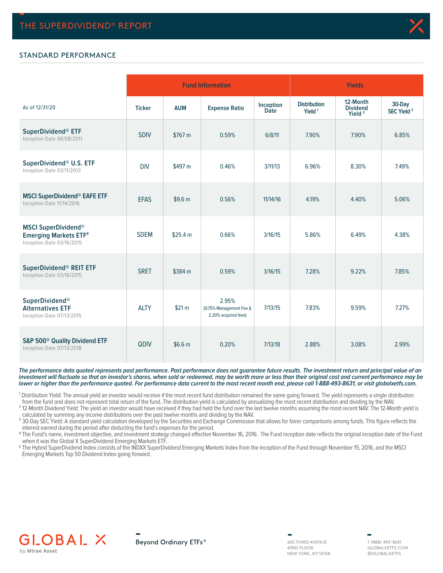

## STANDARD PERFORMANCE

|                                                                                         |               |                    | <b>Fund Information</b>                                  |                          | <b>Yields</b>                             |                                                   |                                  |  |  |
|-----------------------------------------------------------------------------------------|---------------|--------------------|----------------------------------------------------------|--------------------------|-------------------------------------------|---------------------------------------------------|----------------------------------|--|--|
| As of 12/31/20                                                                          | <b>Ticker</b> | <b>AUM</b>         | <b>Expense Ratio</b>                                     | Inception<br><b>Date</b> | <b>Distribution</b><br>Yield <sup>1</sup> | 12-Month<br><b>Dividend</b><br>Yield <sup>2</sup> | 30-Day<br>SEC Yield <sup>3</sup> |  |  |
| SuperDividend® ETF<br>Inception Date 06/08/2011                                         | <b>SDIV</b>   | \$767 m            | 0.59%                                                    | 6/8/11                   | 7.90%                                     | 7.90%                                             | 6.85%                            |  |  |
| SuperDividend® U.S. ETF<br>Inception Date 03/11/2013                                    | <b>DIV</b>    | \$497 m            | 0.46%                                                    | 3/11/13                  | 6.96%                                     | 8.30%                                             | 7.49%                            |  |  |
| <b>MSCI SuperDividend® EAFE ETF</b><br>Inception Date 11/14/2016                        | <b>EFAS</b>   | \$9.6 <sub>m</sub> | 0.56%                                                    | 11/14/16                 | 4.19%                                     | 4.40%                                             | 5.06%                            |  |  |
| <b>MSCI SuperDividend®</b><br><b>Emerging Markets ETF4</b><br>Inception Date 03/16/2015 | <b>SDEM</b>   | \$25.4 m           | 0.66%                                                    | 3/16/15                  | 5.86%                                     | 6.49%                                             | 4.38%                            |  |  |
| SuperDividend® REIT ETF<br>Inception Date 03/16/2015                                    | <b>SRET</b>   | \$384 m            | 0.59%                                                    | 3/16/15                  | 7.28%                                     | 9.22%                                             | 7.85%                            |  |  |
| SuperDividend®<br><b>Alternatives ETF</b><br>Inception Date 07/13/2015                  | <b>ALTY</b>   | \$21 m             | 2.95%<br>(0.75% Management Fee &<br>2.20% acquired fees) | 7/13/15                  | 7.83%                                     | 9.59%                                             | 7.27%                            |  |  |
| S&P 500 <sup>®</sup> Quality Dividend ETF<br>Inception Date 07/13/2018                  | QDIV          | \$6.6 m            | 0.20%                                                    | 7/13/18                  | 2.88%                                     | 3.08%                                             | 2.99%                            |  |  |

**The performance data quoted represents past performance. Past performance does not guarantee future results. The investment return and principal value of an investment will fluctuate so that an investor's shares, when sold or redeemed, may be worth more or less than their original cost and current performance may be lower or higher than the performance quoted. For performance data current to the most recent month end, please call 1-888-493-8631, or visit globalxetfs.com.**

<sup>1</sup> Distribution Yield: The annual yield an investor would receive if the most recent fund distribution remained the same going forward. The yield represents a single distribution from the fund and does not represent total return of the fund. The distribution yield is calculated by annualizing the most recent distribution and dividing by the NAV.

which the time and about the yield an investor would have received if they had held the fund over the last twelve months assuming the most recent NAV. The 12-Month yield is calculated by summing any income distributions over the past twelve months and dividing by the NAV.

<sup>3</sup> 30-Day SEC Yield: A standard yield calculation developed by the Securities and Exchange Commission that allows for fairer comparisons among funds. This figure reflects the interest earned during the period after deducting the fund's expenses for the period.

4 The Fund's name, investment objective, and investment strategy changed effective November 16, 2016. The Fund inception date reflects the original inception date of the Fund when it was the Global X SuperDividend Emerging Markets ETF.

5 The Hybrid SuperDividend Index consists of the INDXX SuperDividend Emerging Markets Index from the inception of the Fund through November 15, 2016, and the MSCI Emerging Markets Top 50 Dividend Index going forward.



605 THIRD AVENUE 43RD FLOOR NEW YORK, NY 10158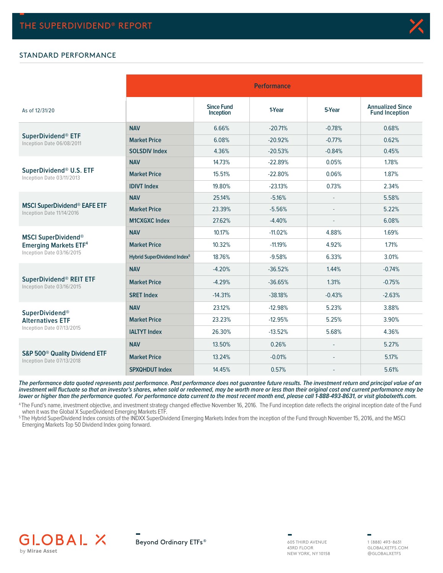### STANDARD PERFORMANCE

|                                                                        |                                         | <b>Performance</b>             |           |          |                                                  |  |  |  |  |  |
|------------------------------------------------------------------------|-----------------------------------------|--------------------------------|-----------|----------|--------------------------------------------------|--|--|--|--|--|
| As of 12/31/20                                                         |                                         | <b>Since Fund</b><br>Inception | 1-Year    | 5-Year   | <b>Annualized Since</b><br><b>Fund Inception</b> |  |  |  |  |  |
|                                                                        | <b>NAV</b>                              | 6.66%                          | $-20.71%$ | $-0.78%$ | 0.68%                                            |  |  |  |  |  |
| SuperDividend® ETF<br>Inception Date 06/08/2011                        | <b>Market Price</b>                     | 6.08%                          | $-20.92%$ | $-0.77%$ | 0.62%                                            |  |  |  |  |  |
|                                                                        | <b>SOLSDIV Index</b>                    | 4.36%                          | $-20.53%$ | $-0.84%$ | 0.45%                                            |  |  |  |  |  |
|                                                                        | <b>NAV</b>                              | 14.73%                         | $-22.89%$ | 0.05%    | 1.78%                                            |  |  |  |  |  |
| SuperDividend® U.S. ETF<br>Inception Date 03/11/2013                   | <b>Market Price</b>                     | 15.51%                         | $-22.80%$ | 0.06%    | 1.87%                                            |  |  |  |  |  |
|                                                                        | <b>IDIVT Index</b>                      | 19.80%                         | $-23.13%$ | 0.73%    | 2.34%                                            |  |  |  |  |  |
| <b>MSCI SuperDividend® EAFE ETF</b><br>Inception Date 11/14/2016       | <b>NAV</b>                              | 25.14%                         | $-5.16%$  |          | 5.58%                                            |  |  |  |  |  |
|                                                                        | <b>Market Price</b>                     | 23.39%                         | $-5.56%$  |          | 5.22%                                            |  |  |  |  |  |
|                                                                        | <b>M1CXGXC Index</b>                    | 27.62%                         | $-4.40%$  | ٠        | 6.08%                                            |  |  |  |  |  |
| <b>MSCI SuperDividend®</b>                                             | <b>NAV</b>                              | 10.17%                         | $-11.02%$ | 4.88%    | 1.69%                                            |  |  |  |  |  |
| <b>Emerging Markets ETF4</b>                                           | <b>Market Price</b>                     | 10.32%                         | $-11.19%$ | 4.92%    | 1.71%                                            |  |  |  |  |  |
| Inception Date 03/16/2015                                              | Hybrid SuperDividend Index <sup>5</sup> | 18.76%                         | $-9.58%$  | 6.33%    | 3.01%                                            |  |  |  |  |  |
|                                                                        | <b>NAV</b>                              | $-4.20%$                       | $-36.52%$ | 1.44%    | $-0.74%$                                         |  |  |  |  |  |
| SuperDividend® REIT ETF<br>Inception Date 03/16/2015                   | <b>Market Price</b>                     | $-4.29%$                       | $-36.65%$ | 1.31%    | $-0.75%$                                         |  |  |  |  |  |
|                                                                        | <b>SRET Index</b>                       | $-14.31%$                      | $-38.18%$ | $-0.43%$ | $-2.63%$                                         |  |  |  |  |  |
| <b>SuperDividend®</b>                                                  | <b>NAV</b>                              | 23.12%                         | $-12.98%$ | 5.23%    | 3.88%                                            |  |  |  |  |  |
| <b>Alternatives ETF</b>                                                | <b>Market Price</b>                     | 23.23%                         | $-12.95%$ | 5.25%    | 3.90%                                            |  |  |  |  |  |
| Inception Date 07/13/2015                                              | <b>IALTYT Index</b>                     | 26.30%                         | $-13.52%$ | 5.68%    | 4.36%                                            |  |  |  |  |  |
|                                                                        | <b>NAV</b>                              | 13.50%                         | 0.26%     |          | 5.27%                                            |  |  |  |  |  |
| S&P 500 <sup>®</sup> Quality Dividend ETF<br>Inception Date 07/13/2018 | <b>Market Price</b>                     | 13.24%                         | $-0.01%$  |          | 5.17%                                            |  |  |  |  |  |
|                                                                        | <b>SPXQHDUT Index</b>                   | 14.45%                         | 0.57%     |          | 5.61%                                            |  |  |  |  |  |

**The performance data quoted represents past performance. Past performance does not guarantee future results. The investment return and principal value of an investment will fluctuate so that an investor's shares, when sold or redeemed, may be worth more or less than their original cost and current performance may be lower or higher than the performance quoted. For performance data current to the most recent month end, please call 1-888-493-8631, or visit globalxetfs.com.**

<sup>4</sup>The Fund's name, investment objective, and investment strategy changed effective November 16, 2016. The Fund inception date reflects the original inception date of the Fund when it was the Global X SuperDividend Emerging Markets ETF.

5 The Hybrid SuperDividend Index consists of the INDXX SuperDividend Emerging Markets Index from the inception of the Fund through November 15, 2016, and the MSCI Emerging Markets Top 50 Dividend Index going forward.







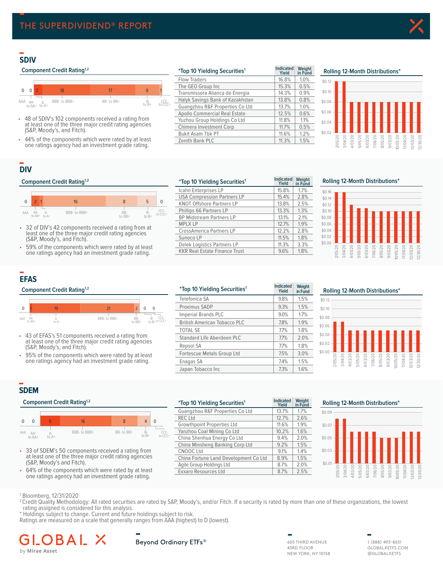## **SDIV**

### **Component Credit Rating<sup>1,2</sup>**



- 48 of SDIV's 102 components received a rating from at least one of the three major credit rating agencies (S&P, Moody's, and Fitch).
- 44% of the components which were rated by at least one ratings agency had an investment grade rating.

| <i>*Top 10 Yielding Securities<sup>1</sup></i> | <b>Indicated</b><br>Yield | Weight<br>in Fund |
|------------------------------------------------|---------------------------|-------------------|
| <b>Flow Traders</b>                            | 16.8%                     | 1.0%              |
| The GEO Group Inc                              | 15.3%                     | 0.5%              |
| Transmissora Alianca de Energia                | 14.3%                     | 0.9%              |
| Halyk Savings Bank of Kazakhstan               | 13.8%                     | 0.8%              |
| Guangzhou R&F Properties Co Ltd                | 13.7%                     | 1.0%              |
| Apollo Commercial Real Estate                  | 12.5%                     | 0.6%              |
| Yuzhou Group Holdings Co Ltd                   | 11.8%                     | 1.1%              |
| Chimera Investment Corp                        | 11.7%                     | 0.5%              |
| <b>Bukit Asam Tbk PT</b>                       | 11.6%                     | 1.2%              |
| Zenith Bank PLC                                | 11.3%                     | 1.5%              |

## **SDIV Rolling 12 Month Distributions² Rolling 12-Month Distributions\***



## **DIV**

#### **Component Credit Rating<sup>1,2</sup>**



- 32 of DIV's 42 components received a rating from at least one of the three major credit rating agencies (S&P, Moody's, and Fitch).
- 59% of the components which were rated by at least one ratings agency had an investment grade rating.

| <i>*Top 10 Yielding Securities<sup>1</sup></i> | Indicated<br>Yield | Weight<br>in Fund |
|------------------------------------------------|--------------------|-------------------|
| Icahn Enterprises LP                           | 15.8%              | 1.7%              |
| <b>USA Compression Partners LP</b>             | 15.4%              | 2.8%              |
| <b>KNOT Offshore Partners LP</b>               | 13.8%              | 2.5%              |
| Phillips 66 Partners LP                        | 13.3%              | 1.3%              |
| <b>BP Midstream Partners LP</b>                | 13.1%              | 2.1%              |
| <b>MPLX LP</b>                                 | 12.7%              | 1.9%              |
| <b>CrossAmerica Partners LP</b>                | 12.2%              | 2.8%              |
| Sunoco LP                                      | 11.5%              | 1.8%              |
| Delek Logistics Partners LP                    | 11.3%              | 3.3%              |
| <b>KKR Real Estate Finance Trust</b>           | 9.6%               | 1.8%              |

## **DIV Rolling 12 Month Distributions² Rolling 12-Month Distributions\***



## **EFAS**





- 43 of EFAS's 51 components received a rating from at least one of the three major credit rating agencies (S&P, Moody's, and Fitch).
- 95% of the components which were rated by at least one ratings agency had an investment grade rating.

|              | <b>Component Credit Rating</b> <sup>1,2</sup>                                                                 |             |                                        | <i>*Top 10 Yielding Securities<sup>1</sup></i> | <b>Indicated</b><br>Yield | Weight<br>in Fund |  |
|--------------|---------------------------------------------------------------------------------------------------------------|-------------|----------------------------------------|------------------------------------------------|---------------------------|-------------------|--|
|              |                                                                                                               |             |                                        | Telefonica SA                                  | 9.8%                      | 1.5%              |  |
| $\mathbf{0}$ | 19                                                                                                            | 21          | $\overline{2}$<br>$\Omega$<br>$\Omega$ | Proximus SADP                                  | 9.3%                      | 1.5%              |  |
| AA-<br>AAA   |                                                                                                               | BBB-to BBB+ | BB-                                    | <b>Imperial Brands PLC</b>                     | 9.0%                      | 1.7%              |  |
| to AA+       | Д-<br>to A+                                                                                                   |             | $B-$ CCC-<br>to $B+$ to CCC+<br>to BB+ | <b>British American Tobacco PLC</b>            | 7.8%                      | 1.9%              |  |
|              |                                                                                                               |             |                                        | <b>TOTAL SE</b>                                | 7.7%                      | 1.8%              |  |
|              | • 43 of EFAS's 51 components received a rating from<br>at least one of the three major credit rating agencies |             |                                        | Standard Life Aberdeen PLC                     | 7.7%                      | 2.0%              |  |
|              | (S&P, Moody's, and Fitch).                                                                                    |             |                                        | Repsol SA                                      | 7.7%                      | 1.8%              |  |
|              | 95% of the components which were rated by at least                                                            |             |                                        | Fortescue Metals Group Ltd                     | 7.5%                      | 3.0%              |  |
|              | one ratings agency had an investment grade rating.                                                            |             |                                        | Enagas SA                                      | 7.4%                      | 1.5%              |  |
|              |                                                                                                               |             |                                        | Japan Tobacco Inc                              | 7.3%                      | 1.6%              |  |
|              |                                                                                                               |             |                                        |                                                |                           |                   |  |

**Weight** 



## **SDEM**

#### **Component Credit Rating<sup>1,2</sup>**



- 33 of SDEM's 50 components received a rating from at least one of the three major credit rating agencies (S&P, Moody's and Fitch).
- 64% of the components which were rated by at least one ratings agency had an investment grade rating.

|                                                    |       |                             | Component Credit Rating <sup>1,2</sup>                 |           |        | <b>Indicated</b><br><i>*Top 10 Yielding Securities<sup>1</sup></i><br><b>Yield</b> |                                       | Weight<br>in Fund | <b>Rolling 12-Month Distributions*</b> |           |  |  |  |  |  |  |  |
|----------------------------------------------------|-------|-----------------------------|--------------------------------------------------------|-----------|--------|------------------------------------------------------------------------------------|---------------------------------------|-------------------|----------------------------------------|-----------|--|--|--|--|--|--|--|
|                                                    |       |                             |                                                        |           |        |                                                                                    | Guangzhou R&F Properties Co Ltd       | 13.7%             | 1.7%                                   | \$0.09    |  |  |  |  |  |  |  |
|                                                    |       |                             |                                                        |           |        |                                                                                    | <b>REC Ltd</b>                        | 12.7%             | 2.6%                                   |           |  |  |  |  |  |  |  |
|                                                    |       |                             | 16                                                     | 8         | 4      | $\overline{0}$                                                                     | Growthpoint Properties Ltd            | 11.6%             | 1.9%                                   | $$0.07 -$ |  |  |  |  |  |  |  |
|                                                    | A AA- |                             | BBB- to BBB+                                           | BB-to BB+ | B-     | CCC-                                                                               | Yanzhou Coal Mining Co Ltd            | 10.2%             | 1.6%                                   |           |  |  |  |  |  |  |  |
| to B+<br>to CCC+<br>to $A+$<br>to AA+              |       | China Shenhua Energy Co Ltd | 9.4%                                                   | 2.0%      | \$0.05 |                                                                                    |                                       |                   |                                        |           |  |  |  |  |  |  |  |
|                                                    |       |                             |                                                        |           |        |                                                                                    | China Minsheng Banking Corp Ltd       | 9.2%              | 1.5%                                   |           |  |  |  |  |  |  |  |
|                                                    |       |                             | 33 of SDEM's 50 components received a rating from      |           |        |                                                                                    | CNOOC Ltd                             | 9.1%              | 1.4%                                   | \$0.03    |  |  |  |  |  |  |  |
|                                                    |       |                             | at least one of the three major credit rating agencies |           |        |                                                                                    | China Fortune Land Development Co Ltd | 8.9%              | 1.5%                                   |           |  |  |  |  |  |  |  |
| (S&P, Moody's and Fitch).                          |       |                             | Agile Group Holdings Ltd                               | 8.7%      | 2.0%   | \$0.01                                                                             |                                       |                   |                                        |           |  |  |  |  |  |  |  |
| 64% of the components which were rated by at least |       |                             | Exxaro Resources Ltd                                   | 8.7%      | 2.5%   |                                                                                    | 50                                    |                   |                                        |           |  |  |  |  |  |  |  |
| ano ratings againsy had an invostment grade rating |       |                             |                                                        |           |        |                                                                                    |                                       |                   |                                        |           |  |  |  |  |  |  |  |





#### 1 Bloomberg, 12/31/2020

- <sup>2</sup> Credit Quality Methodology: All rated securities are rated by S&P, Moody's, and/or Fitch. If a security is rated by more than one of these organizations, the lowest rating assigned is considered for this analysis.
- \* Holdings subject to change. Current and future holdings subject to risk.
- Ratings are measured on a scale that generally ranges from AAA (highest) to D (lowest).

#### В A I by Mirae Asset

Beyond Ordinary ETFs®

605 THIRD AVENUE 43RD FLOOR NEW YORK, NY 10158

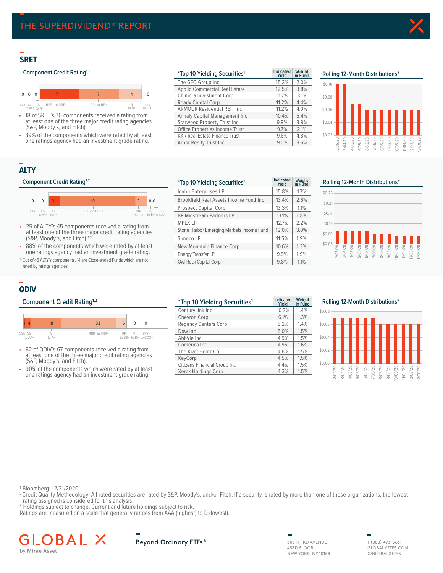## **SRET**

## **Component Credit Rating<sup>1,2</sup>**



- 18 of SRET's 30 components received a rating from at least one of the three major credit rating agencies (S&P, Moody's, and Fitch).
- 39% of the components which were rated by at least one ratings agency had an investment grade rating.

| <i>*Top 10 Yielding Securities<sup>1</sup></i> | <b>Indicated</b><br>Yield | Weight<br>in Fund | Rolling 12-Month Distributions* |  |  |      |      |      |  |      |
|------------------------------------------------|---------------------------|-------------------|---------------------------------|--|--|------|------|------|--|------|
| The GEO Group Inc                              | 15.3%                     | 2.0%              | \$0.10                          |  |  |      |      |      |  |      |
| Apollo Commercial Real Estate                  | 12.5%                     | 3.8%              |                                 |  |  |      |      |      |  |      |
| Chimera Investment Corp                        | 11.7%                     | 3.1%              | $$0.08 -$                       |  |  |      |      |      |  |      |
| Ready Capital Corp                             | 11.2%                     | 4.4%              |                                 |  |  |      |      |      |  |      |
| <b>ARMOUR Residential REIT Inc.</b>            | 11.2%                     | 4.0%              | \$0.06                          |  |  |      |      |      |  |      |
| Annaly Capital Management Inc                  | 10.4%                     | 5.4%              |                                 |  |  |      |      |      |  |      |
| Starwood Property Trust Inc                    | 9.9%                      | 3.9%              | \$0.04                          |  |  |      |      |      |  |      |
| Office Properties Income Trust                 | 9.7%                      | 2.1%              |                                 |  |  |      |      |      |  |      |
| <b>KKR Real Estate Finance Trust</b>           | 9.6%                      | 4.8%              | \$0.02                          |  |  |      |      |      |  |      |
| Arbor Realty Trust Inc                         | 9.0%                      | 3.6%              |                                 |  |  | 5/20 | 3/20 | 6/20 |  | 5/20 |



## **ALTY**

### **Component Credit Rating**<sup>1,2</sup>



- 25 of ALTY's 45 components received a rating from at least one of the three major credit rating agencies (S&P, Moody's, and Fitch).\*\*
- 88% of the components which were rated by at least one ratings agency had an investment grade rating.

\*\*Out of 45 ALTY's components, 14 are Close-ended Funds which are not rated by ratings agencies.

| <i>*Top 10 Yielding Securities<sup>1</sup></i> | <b>Indicated</b><br>Yield | Weight<br>in Fund | Rolling 12-Month Distributions*                                                |
|------------------------------------------------|---------------------------|-------------------|--------------------------------------------------------------------------------|
| Icahn Enterprises LP                           | 15.8%                     | 1.7%              | \$0.25                                                                         |
| Brookfield Real Assets Income Fund Inc.        | 13.4%                     | 2.6%              | \$0.21                                                                         |
| <b>Prospect Capital Corp</b>                   | 13.3%                     | 1.1%              |                                                                                |
| <b>BP Midstream Partners LP</b>                | 13.1%                     | 1.8%              | \$0.17                                                                         |
| <b>MPLX LP</b>                                 | 12.7%                     | 2.2%              | \$0.13                                                                         |
| Stone Harbor Emerging Markets Income Fund      | 12.0%                     | 3.0%              | $$0.09 -$                                                                      |
| Sunoco LP                                      | 11.5%                     | 1.9%              |                                                                                |
| New Mountain Finance Corp                      | 10.6%                     | 1.3%              | \$0.05                                                                         |
| <b>Energy Transfer LP</b>                      | 9.9%                      | 1.9%              | 2051201<br>31041201<br>4031201<br>51051201<br>71061201<br>31051201<br>31051201 |
| <b>Owl Rock Capital Corp</b>                   | 9.8%                      | 1.1%              |                                                                                |



## **QDIV**



- 62 of QDIV's 67 components received a rating from at least one of the three major credit rating agencies (S&P, Moody's, and Fitch).
- 90% of the components which were rated by at least one ratings agency had an investment grade rating.

| <b>Component Credit Rating</b> <sup>1,2</sup>                                                              | <i>*Top 10 Yielding Securities<sup>1</sup></i> | <b>Indicated</b><br>Yield | Weight<br>in Fund | <b>Rolling 12-Month Distributions*</b>                  |  |  |  |  |  |
|------------------------------------------------------------------------------------------------------------|------------------------------------------------|---------------------------|-------------------|---------------------------------------------------------|--|--|--|--|--|
|                                                                                                            | CenturyLink Inc                                | 10.3%                     | 1.4%              | \$0.08                                                  |  |  |  |  |  |
|                                                                                                            | Chevron Corp                                   | 6.1%                      | $1.3\%$           |                                                         |  |  |  |  |  |
| 33<br>18<br>$6 \mid$<br>$\Omega$<br>0                                                                      | <b>Regency Centers Corp</b>                    | 5.2%                      | 1.4%              | \$0.06                                                  |  |  |  |  |  |
| AAA AA-<br>BBB- to BBB+<br>CCC-<br><b>B-</b><br>BB-<br>Д-                                                  | Dow Inc                                        | 5.0%                      | 1.5%              |                                                         |  |  |  |  |  |
| to BB+ to B+ to CCC+<br>to AA+<br>to A+                                                                    | AbbVie Inc                                     | 4.9%                      | 1.5%              | \$0.04                                                  |  |  |  |  |  |
|                                                                                                            | Comerica Inc                                   | 4.9%                      | 1.6%              |                                                         |  |  |  |  |  |
| • 62 of QDIV's 67 components received a rating from                                                        | The Kraft Heinz Co                             | 4.6%                      | 1.5%              | \$0.02                                                  |  |  |  |  |  |
| at least one of the three major credit rating agencies<br>(S&P, Moody's, and Fitch).                       | KeyCorp                                        | 4.5%                      | 1.5%              |                                                         |  |  |  |  |  |
|                                                                                                            | Citizens Financial Group Inc                   | 4.4%                      | 1.5%              | \$0.00                                                  |  |  |  |  |  |
| • 90% of the components which were rated by at least<br>ano ratings against had an investment arado rating | Xerox Holdings Corp                            | 4.3%                      | 1.5%              | 5/2<br>$\widetilde{\infty}$<br>$\overline{\omega}$<br>드 |  |  |  |  |  |

| Rolling 12-Month Distributions* |         |         |         |         |                    |         |         |          |          |          |          |
|---------------------------------|---------|---------|---------|---------|--------------------|---------|---------|----------|----------|----------|----------|
| \$0.08                          |         |         |         |         |                    |         |         |          |          |          |          |
| \$0.06                          |         |         |         |         |                    |         |         |          |          |          |          |
| \$0.04                          |         |         |         |         |                    |         |         |          |          |          |          |
| \$0.02                          |         |         |         |         |                    |         |         |          |          |          |          |
| \$0.00                          |         |         |         |         |                    |         |         |          |          |          |          |
|                                 | 2/05/20 | 3/04/20 | 4/03/20 | 5/05/20 | 6/03/20<br>7/06/20 | 8/05/20 | 9/03/20 | 10/05/20 | 11/04/20 | 12/03/20 | 12/30/20 |

1 Bloomberg, 12/31/2020

- <sup>2</sup> Credit Quality Methodology: All rated securities are rated by S&P, Moody's, and/or Fitch. If a security is rated by more than one of these organizations, the lowest rating assigned is considered for this analysis.
- \* Holdings subject to change. Current and future holdings subject to risk.

Ratings are measured on a scale that generally ranges from AAA (highest) to D (lowest).

#### BAL. GLO 人 by Mirae Asset



605 THIRD AVENUE 43RD FLOOR NEW YORK, NY 10158